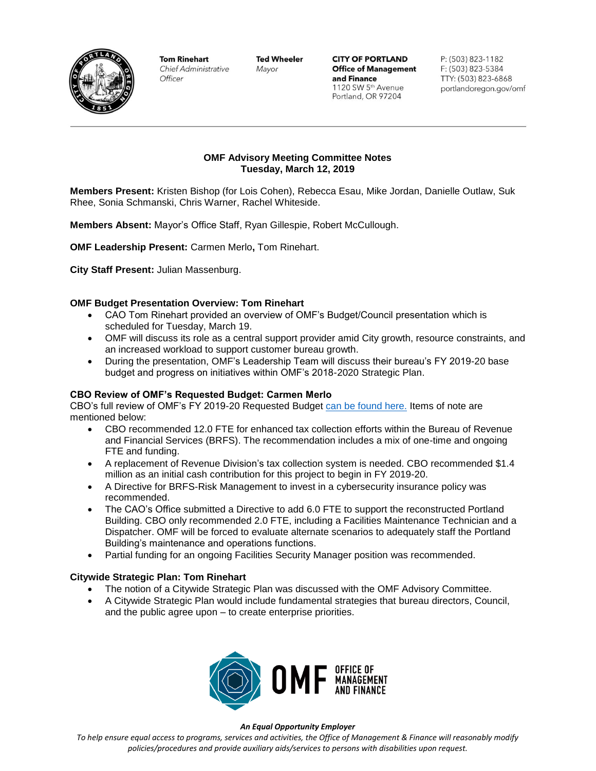

**Tom Rinehart Chief Administrative** Officer

**Ted Wheeler** Mayor

**CITY OF PORTLAND Office of Management** and Finance 1120 SW 5th Avenue Portland, OR 97204

P: (503) 823-1182 F: (503) 823-5384 TTY: (503) 823-6868 portlandoregon.gov/omf

# **OMF Advisory Meeting Committee Notes Tuesday, March 12, 2019**

**Members Present:** Kristen Bishop (for Lois Cohen), Rebecca Esau, Mike Jordan, Danielle Outlaw, Suk Rhee, Sonia Schmanski, Chris Warner, Rachel Whiteside.

**Members Absent:** Mayor's Office Staff, Ryan Gillespie, Robert McCullough.

**OMF Leadership Present:** Carmen Merlo**,** Tom Rinehart.

**City Staff Present:** Julian Massenburg.

## **OMF Budget Presentation Overview: Tom Rinehart**

- CAO Tom Rinehart provided an overview of OMF's Budget/Council presentation which is scheduled for Tuesday, March 19.
- OMF will discuss its role as a central support provider amid City growth, resource constraints, and an increased workload to support customer bureau growth.
- During the presentation, OMF's Leadership Team will discuss their bureau's FY 2019-20 base budget and progress on initiatives within OMF's 2018-2020 Strategic Plan.

### **CBO Review of OMF's Requested Budget: Carmen Merlo**

CBO's full review of OMF's FY 2019-20 Requested Budget [can be found here.](https://www.portlandoregon.gov/cbo/article/714618) Items of note are mentioned below:

- CBO recommended 12.0 FTE for enhanced tax collection efforts within the Bureau of Revenue and Financial Services (BRFS). The recommendation includes a mix of one-time and ongoing FTE and funding.
- A replacement of Revenue Division's tax collection system is needed. CBO recommended \$1.4 million as an initial cash contribution for this project to begin in FY 2019-20.
- A Directive for BRFS-Risk Management to invest in a cybersecurity insurance policy was recommended.
- The CAO's Office submitted a Directive to add 6.0 FTE to support the reconstructed Portland Building. CBO only recommended 2.0 FTE, including a Facilities Maintenance Technician and a Dispatcher. OMF will be forced to evaluate alternate scenarios to adequately staff the Portland Building's maintenance and operations functions.
- Partial funding for an ongoing Facilities Security Manager position was recommended.

### **Citywide Strategic Plan: Tom Rinehart**

- The notion of a Citywide Strategic Plan was discussed with the OMF Advisory Committee.
- A Citywide Strategic Plan would include fundamental strategies that bureau directors, Council, and the public agree upon – to create enterprise priorities.



#### *An Equal Opportunity Employer*

*To help ensure equal access to programs, services and activities, the Office of Management & Finance will reasonably modify policies/procedures and provide auxiliary aids/services to persons with disabilities upon request.*